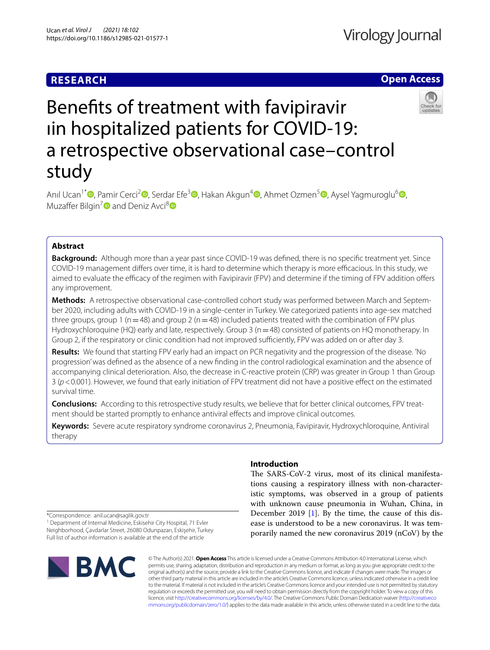# **RESEARCH**

# **Open Access**



# Benefts of treatment with favipiravir ıin hospitalized patients for COVID-19: a retrospective observational case–control study

Anıl Ucan<sup>1\*</sup> D[,](https://orcid.org/0000-0002-4365-4384) Pamir Cerci<sup>2</sup> D, Serdar Efe<sup>3</sup> D, Hakan Akgun<sup>[4](http://orcid.org/0000-0002-6597-7993)</sup> D[,](http://orcid.org/0000-0002-3394-7298) Ahmet Ozmen<sup>5</sup> D, Aysel Yagmuroglu<sup>6</sup> D, Muzaffer Bilgin<sup>[7](http://orcid.org/0000-0002-6072-6466)</sup> and Deniz Avci<sup>[8](http://orcid.org/0000-0001-9220-194X)</sup>

# **Abstract**

**Background:** Although more than a year past since COVID-19 was defned, there is no specifc treatment yet. Since COVID-19 management difers over time, it is hard to determine which therapy is more efcacious. In this study, we aimed to evaluate the efficacy of the regimen with Favipiravir (FPV) and determine if the timing of FPV addition offers any improvement.

**Methods:** A retrospective observational case-controlled cohort study was performed between March and September 2020, including adults with COVID-19 in a single-center in Turkey. We categorized patients into age-sex matched three groups, group 1 ( $n=48$ ) and group 2 ( $n=48$ ) included patients treated with the combination of FPV plus Hydroxychloroquine (HQ) early and late, respectively. Group 3 (n=48) consisted of patients on HQ monotherapy. In Group 2, if the respiratory or clinic condition had not improved sufficiently, FPV was added on or after day 3.

**Results:** We found that starting FPV early had an impact on PCR negativity and the progression of the disease. 'No progression' was defned as the absence of a new fnding in the control radiological examination and the absence of accompanying clinical deterioration. Also, the decrease in C-reactive protein (CRP) was greater in Group 1 than Group 3 (*p*<0.001). However, we found that early initiation of FPV treatment did not have a positive efect on the estimated survival time.

**Conclusions:** According to this retrospective study results, we believe that for better clinical outcomes, FPV treatment should be started promptly to enhance antiviral efects and improve clinical outcomes.

**Keywords:** Severe acute respiratory syndrome coronavirus 2, Pneumonia, Favipiravir, Hydroxychloroquine, Antiviral therapy

# **Introduction**

The SARS-CoV-2 virus, most of its clinical manifestations causing a respiratory illness with non-characteristic symptoms, was observed in a group of patients with unknown cause pneumonia in Wuhan, China, in December 2019  $[1]$  $[1]$ . By the time, the cause of this disease is understood to be a new coronavirus. It was temporarily named the new coronavirus 2019 (nCoV) by the

\*Correspondence: anil.ucan@saglik.gov.tr

<sup>1</sup> Department of Internal Medicine, Eskisehir City Hospital, 71 Evler Neighborhood, Çavdarlar Street, 26080 Odunpazarı, Eskişehir, Turkey Full list of author information is available at the end of the article



© The Author(s) 2021. **Open Access** This article is licensed under a Creative Commons Attribution 4.0 International License, which permits use, sharing, adaptation, distribution and reproduction in any medium or format, as long as you give appropriate credit to the original author(s) and the source, provide a link to the Creative Commons licence, and indicate if changes were made. The images or other third party material in this article are included in the article's Creative Commons licence, unless indicated otherwise in a credit line to the material. If material is not included in the article's Creative Commons licence and your intended use is not permitted by statutory regulation or exceeds the permitted use, you will need to obtain permission directly from the copyright holder. To view a copy of this licence, visit [http://creativecommons.org/licenses/by/4.0/.](http://creativecommons.org/licenses/by/4.0/) The Creative Commons Public Domain Dedication waiver ([http://creativeco](http://creativecommons.org/publicdomain/zero/1.0/) [mmons.org/publicdomain/zero/1.0/](http://creativecommons.org/publicdomain/zero/1.0/)) applies to the data made available in this article, unless otherwise stated in a credit line to the data.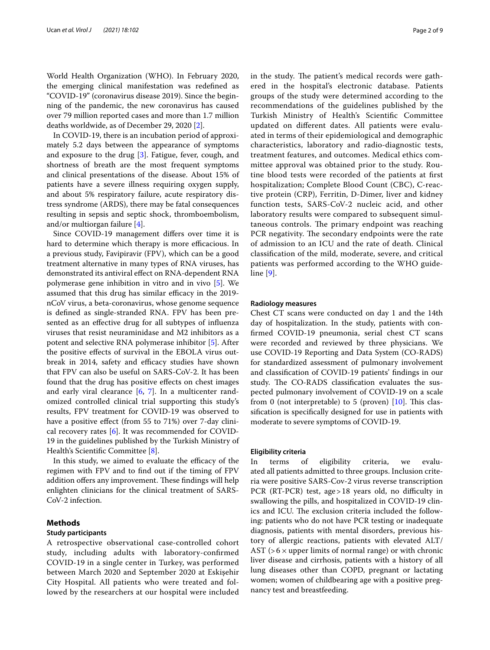World Health Organization (WHO). In February 2020, the emerging clinical manifestation was redefned as "COVID-19" (coronavirus disease 2019). Since the beginning of the pandemic, the new coronavirus has caused over 79 million reported cases and more than 1.7 million deaths worldwide, as of December 29, 2020 [\[2](#page-7-1)].

In COVID-19, there is an incubation period of approximately 5.2 days between the appearance of symptoms and exposure to the drug  $[3]$ . Fatigue, fever, cough, and shortness of breath are the most frequent symptoms and clinical presentations of the disease. About 15% of patients have a severe illness requiring oxygen supply, and about 5% respiratory failure, acute respiratory distress syndrome (ARDS), there may be fatal consequences resulting in sepsis and septic shock, thromboembolism, and/or multiorgan failure [[4\]](#page-8-1).

Since COVID-19 management difers over time it is hard to determine which therapy is more efficacious. In a previous study, Favipiravir (FPV), which can be a good treatment alternative in many types of RNA viruses, has demonstrated its antiviral effect on RNA-dependent RNA polymerase gene inhibition in vitro and in vivo [[5\]](#page-8-2). We assumed that this drug has similar efficacy in the 2019nCoV virus, a beta-coronavirus, whose genome sequence is defned as single-stranded RNA. FPV has been presented as an efective drug for all subtypes of infuenza viruses that resist neuraminidase and M2 inhibitors as a potent and selective RNA polymerase inhibitor [\[5](#page-8-2)]. After the positive efects of survival in the EBOLA virus outbreak in 2014, safety and efficacy studies have shown that FPV can also be useful on SARS-CoV-2. It has been found that the drug has positive efects on chest images and early viral clearance  $[6, 7]$  $[6, 7]$  $[6, 7]$ . In a multicenter randomized controlled clinical trial supporting this study's results, FPV treatment for COVID-19 was observed to have a positive efect (from 55 to 71%) over 7-day clinical recovery rates [[6\]](#page-8-3). It was recommended for COVID-19 in the guidelines published by the Turkish Ministry of Health's Scientific Committee [\[8](#page-8-5)].

In this study, we aimed to evaluate the efficacy of the regimen with FPV and to fnd out if the timing of FPV addition offers any improvement. These findings will help enlighten clinicians for the clinical treatment of SARS-CoV-2 infection.

# **Methods**

# **Study participants**

A retrospective observational case-controlled cohort study, including adults with laboratory-confrmed COVID-19 in a single center in Turkey, was performed between March 2020 and September 2020 at Eskişehir City Hospital. All patients who were treated and followed by the researchers at our hospital were included in the study. The patient's medical records were gathered in the hospital's electronic database. Patients groups of the study were determined according to the recommendations of the guidelines published by the Turkish Ministry of Health's Scientifc Committee updated on diferent dates. All patients were evaluated in terms of their epidemiological and demographic characteristics, laboratory and radio-diagnostic tests, treatment features, and outcomes. Medical ethics committee approval was obtained prior to the study. Routine blood tests were recorded of the patients at frst hospitalization; Complete Blood Count (CBC), C-reactive protein (CRP), Ferritin, D-Dimer, liver and kidney function tests, SARS-CoV-2 nucleic acid, and other laboratory results were compared to subsequent simultaneous controls. The primary endpoint was reaching PCR negativity. The secondary endpoints were the rate of admission to an ICU and the rate of death. Clinical classifcation of the mild, moderate, severe, and critical patients was performed according to the WHO guideline [\[9](#page-8-6)].

## **Radiology measures**

Chest CT scans were conducted on day 1 and the 14th day of hospitalization. In the study, patients with confrmed COVID-19 pneumonia, serial chest CT scans were recorded and reviewed by three physicians. We use COVID-19 Reporting and Data System (CO-RADS) for standardized assessment of pulmonary involvement and classifcation of COVID-19 patients' fndings in our study. The CO-RADS classification evaluates the suspected pulmonary involvement of COVID-19 on a scale from 0 (not interpretable) to 5 (proven)  $[10]$  $[10]$  $[10]$ . This classifcation is specifcally designed for use in patients with moderate to severe symptoms of COVID-19.

### **Eligibility criteria**

In terms of eligibility criteria, we evaluated all patients admitted to three groups. Inclusion criteria were positive SARS-Cov-2 virus reverse transcription PCR (RT-PCR) test, age > 18 years old, no difficulty in swallowing the pills, and hospitalized in COVID-19 clinics and ICU. The exclusion criteria included the following: patients who do not have PCR testing or inadequate diagnosis, patients with mental disorders, previous history of allergic reactions, patients with elevated ALT/ AST ( $>6\times$  upper limits of normal range) or with chronic liver disease and cirrhosis, patients with a history of all lung diseases other than COPD, pregnant or lactating women; women of childbearing age with a positive pregnancy test and breastfeeding.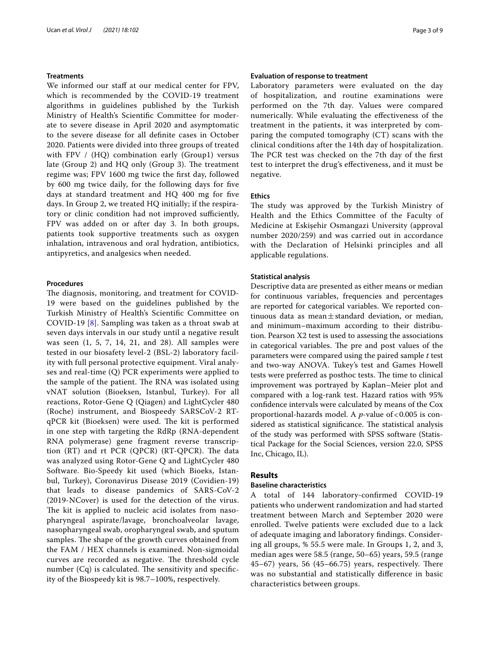# **Treatments**

We informed our staff at our medical center for FPV, which is recommended by the COVID-19 treatment algorithms in guidelines published by the Turkish Ministry of Health's Scientifc Committee for moderate to severe disease in April 2020 and asymptomatic to the severe disease for all defnite cases in October 2020. Patients were divided into three groups of treated with FPV / (HQ) combination early (Group1) versus late (Group 2) and HQ only (Group 3). The treatment regime was; FPV 1600 mg twice the frst day, followed by 600 mg twice daily, for the following days for fve days at standard treatment and HQ 400 mg for fve days. In Group 2, we treated HQ initially; if the respiratory or clinic condition had not improved sufficiently, FPV was added on or after day 3. In both groups, patients took supportive treatments such as oxygen inhalation, intravenous and oral hydration, antibiotics, antipyretics, and analgesics when needed.

# **Procedures**

The diagnosis, monitoring, and treatment for COVID-19 were based on the guidelines published by the Turkish Ministry of Health's Scientifc Committee on COVID-19 [\[8\]](#page-8-5). Sampling was taken as a throat swab at seven days intervals in our study until a negative result was seen (1, 5, 7, 14, 21, and 28). All samples were tested in our biosafety level-2 (BSL-2) laboratory facility with full personal protective equipment. Viral analyses and real-time (Q) PCR experiments were applied to the sample of the patient. The RNA was isolated using vNAT solution (Bioeksen, Istanbul, Turkey). For all reactions, Rotor-Gene Q (Qiagen) and LightCycler 480 (Roche) instrument, and Biospeedy SARSCoV-2 RTqPCR kit (Bioeksen) were used. The kit is performed in one step with targeting the RdRp (RNA-dependent RNA polymerase) gene fragment reverse transcription (RT) and rt PCR (QPCR) (RT-QPCR). The data was analyzed using Rotor-Gene Q and LightCycler 480 Software. Bio-Speedy kit used (which Bioeks, Istanbul, Turkey), Coronavirus Disease 2019 (Covidien-19) that leads to disease pandemics of SARS-CoV-2 (2019-NCover) is used for the detection of the virus. The kit is applied to nucleic acid isolates from nasopharyngeal aspirate/lavage, bronchoalveolar lavage, nasopharyngeal swab, oropharyngeal swab, and sputum samples. The shape of the growth curves obtained from the FAM / HEX channels is examined. Non-sigmoidal curves are recorded as negative. The threshold cycle number  $(Cq)$  is calculated. The sensitivity and specificity of the Biospeedy kit is 98.7–100%, respectively.

#### **Evaluation of response to treatment**

Laboratory parameters were evaluated on the day of hospitalization, and routine examinations were performed on the 7th day. Values were compared numerically. While evaluating the effectiveness of the treatment in the patients, it was interpreted by comparing the computed tomography (CT) scans with the clinical conditions after the 14th day of hospitalization. The PCR test was checked on the 7th day of the first test to interpret the drug's efectiveness, and it must be negative.

# **Ethics**

The study was approved by the Turkish Ministry of Health and the Ethics Committee of the Faculty of Medicine at Eskişehir Osmangazi University (approval number 2020/259) and was carried out in accordance with the Declaration of Helsinki principles and all applicable regulations.

## **Statistical analysis**

Descriptive data are presented as either means or median for continuous variables, frequencies and percentages are reported for categorical variables. We reported continuous data as mean $\pm$ standard deviation, or median, and minimum–maximum according to their distribution. Pearson X2 test is used to assessing the associations in categorical variables. The pre and post values of the parameters were compared using the paired sample *t* test and two-way ANOVA. Tukey's test and Games Howell tests were preferred as posthoc tests. The time to clinical improvement was portrayed by Kaplan–Meier plot and compared with a log-rank test. Hazard ratios with 95% confdence intervals were calculated by means of the Cox proportional-hazards model. A  $p$ -value of <0.005 is considered as statistical significance. The statistical analysis of the study was performed with SPSS software (Statistical Package for the Social Sciences, version 22.0, SPSS Inc, Chicago, IL).

# **Results**

#### **Baseline characteristics**

A total of 144 laboratory-confrmed COVID-19 patients who underwent randomization and had started treatment between March and September 2020 were enrolled. Twelve patients were excluded due to a lack of adequate imaging and laboratory fndings. Considering all groups, % 55.5 were male. In Groups 1, 2, and 3, median ages were 58.5 (range, 50–65) years, 59.5 (range  $45-67$ ) years,  $56$   $(45-66.75)$  years, respectively. There was no substantial and statistically diference in basic characteristics between groups.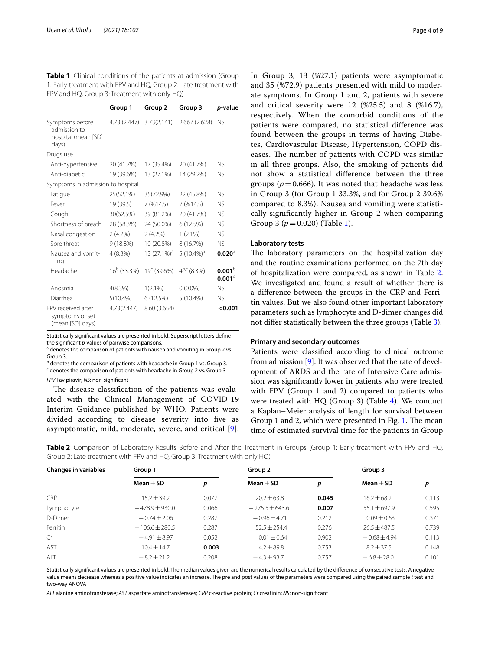<span id="page-3-0"></span>

| <b>Table 1</b> Clinical conditions of the patients at admission (Group |
|------------------------------------------------------------------------|
| 1: Early treatment with FPV and HQ, Group 2: Late treatment with       |
| FPV and HQ, Group 3: Treatment with only HQ)                           |

|                                                                 | Group 1              | Group 2                    | Group 3                   | p-value                                  |
|-----------------------------------------------------------------|----------------------|----------------------------|---------------------------|------------------------------------------|
| Symptoms before<br>admission to<br>hospital (mean [SD]<br>days) | 4.73 (2.447)         | 3.73(2.141)                | 2.667(2.628)              | NS.                                      |
| Drugs use                                                       |                      |                            |                           |                                          |
| Anti-hypertensive                                               | 20 (41.7%)           | 17 (35.4%)                 | 20 (41.7%)                | NS.                                      |
| Anti-diabetic                                                   | 19 (39.6%)           | 13 (27.1%)                 | 14 (29.2%)                | <b>NS</b>                                |
| Symptoms in admission to hospital                               |                      |                            |                           |                                          |
| Fatigue                                                         | 25(52.1%)            | 35(72.9%)                  | 22 (45.8%)                | NS.                                      |
| Fever                                                           | 19 (39.5)            | 7 (%14.5)                  | 7(9614.5)                 | <b>NS</b>                                |
| Cough                                                           | 30(62.5%)            | 39 (81.2%)                 | 20 (41.7%)                | <b>NS</b>                                |
| Shortness of breath                                             | 28 (58.3%)           | 24 (50.0%)                 | 6(12.5%)                  | <b>NS</b>                                |
| Nasal congestion                                                | 2(4.2%)              | 2(4.2%)                    | $1(2.1\%)$                | <b>NS</b>                                |
| Sore throat                                                     | 9 (18.8%)            | 10 (20.8%)                 | 8 (16.7%)                 | <b>NS</b>                                |
| Nausea and vomit-<br>ing                                        | 4(8.3%)              | 13 $(27.1\%)$ <sup>a</sup> | 5 $(10.4\%)$ <sup>a</sup> | $0.020^{\circ}$                          |
| Headache                                                        | $16^{\rm b}$ (33.3%) | $19c$ (39.6%)              | $4^{b,c}$ (8.3%)          | 0.001 <sup>b</sup><br>0.001 <sup>c</sup> |
| Anosmia                                                         | 4(8.3%)              | $1(2.1\%)$                 | $0(0.0\%)$                | <b>NS</b>                                |
| Diarrhea                                                        | $5(10.4\%)$          | 6(12.5%)                   | 5 (10.4%)                 | <b>NS</b>                                |
| FPV received after<br>symptoms onset<br>(mean [SD] days)        | 4.73(2.447)          | 8.60 (3.654)               |                           | < 0.001                                  |

Statistically signifcant values are presented in bold. Superscript letters defne the signifcant *p*-values of pairwise comparisons.

<sup>a</sup> denotes the comparison of patients with nausea and vomiting in Group 2 vs. Group 3.

<sup>b</sup> denotes the comparison of patients with headache in Group 1 vs. Group 3. <sup>c</sup> denotes the comparison of patients with headache in Group 2 vs. Group 3

*FPV* Favipiravir; *NS*: non-signifcant

The disease classification of the patients was evaluated with the Clinical Management of COVID-19 Interim Guidance published by WHO. Patients were divided according to disease severity into five as asymptomatic, mild, moderate, severe, and critical [[9\]](#page-8-6). In Group 3, 13 (%27.1) patients were asymptomatic and 35 (%72.9) patients presented with mild to moderate symptoms. In Group 1 and 2, patients with severe and critical severity were 12 (%25.5) and 8 (%16.7), respectively. When the comorbid conditions of the patients were compared, no statistical diference was found between the groups in terms of having Diabetes, Cardiovascular Disease, Hypertension, COPD diseases. The number of patients with COPD was similar in all three groups. Also, the smoking of patients did not show a statistical diference between the three groups ( $p = 0.666$ ). It was noted that headache was less in Group 3 (for Group 1 33.3%, and for Group 2 39.6% compared to 8.3%). Nausea and vomiting were statistically signifcantly higher in Group 2 when comparing Group 3 (*p*=0.020) (Table [1](#page-3-0)).

## **Laboratory tests**

The laboratory parameters on the hospitalization day and the routine examinations performed on the 7th day of hospitalization were compared, as shown in Table [2](#page-3-1). We investigated and found a result of whether there is a diference between the groups in the CRP and Ferritin values. But we also found other important laboratory parameters such as lymphocyte and D-dimer changes did not difer statistically between the three groups (Table [3\)](#page-4-0).

#### **Primary and secondary outcomes**

Patients were classifed according to clinical outcome from admission [[9\]](#page-8-6). It was observed that the rate of development of ARDS and the rate of Intensive Care admission was signifcantly lower in patients who were treated with FPV (Group 1 and 2) compared to patients who were treated with HQ (Group 3) (Table [4](#page-4-1)). We conduct a Kaplan–Meier analysis of length for survival between Group [1](#page-5-0) and 2, which were presented in Fig.  $1$ . The mean time of estimated survival time for the patients in Group

<span id="page-3-1"></span>**Table 2** Comparison of Laboratory Results Before and After the Treatment in Groups (Group 1: Early treatment with FPV and HQ, Group 2: Late treatment with FPV and HQ, Group 3: Treatment with only HQ)

| <b>Changes in variables</b> | Group 1          |       | Group 2          |       | Group 3        |       |
|-----------------------------|------------------|-------|------------------|-------|----------------|-------|
|                             | $Mean + SD$      | р     | $Mean + SD$      | р     | $Mean + SD$    | р     |
| <b>CRP</b>                  | $15.2 \pm 39.2$  | 0.077 | $20.2 + 63.8$    | 0.045 | $16.2 + 68.2$  | 0.113 |
| Lymphocyte                  | $-478.9 + 930.0$ | 0.066 | $-275.5 + 643.6$ | 0.007 | $55.1 + 697.9$ | 0.595 |
| D-Dimer                     | $-0.74 \pm 2.06$ | 0.287 | $-0.96 + 4.71$   | 0.212 | $0.09 + 0.63$  | 0.371 |
| Ferritin                    | $-106.6 + 280.5$ | 0.287 | $52.5 + 254.4$   | 0.276 | $26.5 + 487.5$ | 0.739 |
| Cr                          | $-4.91 \pm 8.97$ | 0.052 | $0.01 + 0.64$    | 0.902 | $-0.68 + 4.94$ | 0.113 |
| AST                         | $10.4 + 14.7$    | 0.003 | $4.2 + 89.8$     | 0.753 | $8.2 + 37.5$   | 0.148 |
| ALT                         | $-8.2 \pm 21.2$  | 0.208 | $-4.3 + 93.7$    | 0.757 | $-6.8 + 28.0$  | 0.101 |
|                             |                  |       |                  |       |                |       |

Statistically signifcant values are presented in bold. The median values given are the numerical results calculated by the diference of consecutive tests. A negative value means decrease whereas a positive value indicates an increase. The pre and post values of the parameters were compared using the paired sample *t* test and two-way ANOVA

*ALT* alanine aminotransferase; *AST* aspartate aminotransferases; *CRP* c-reactive protein; *Cr* creatinin; *NS*: non-signifcant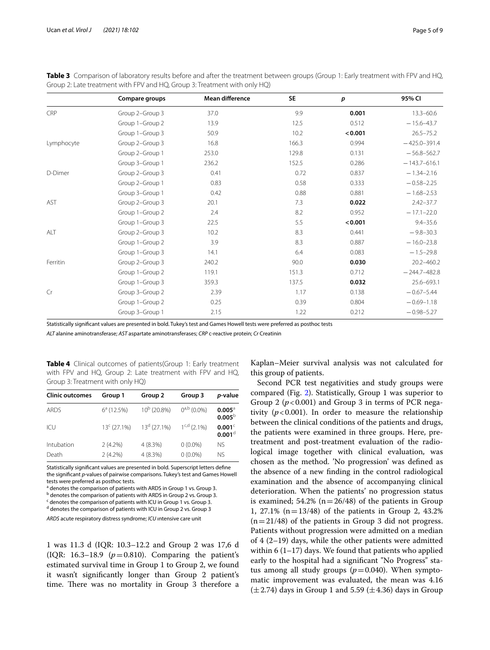|            | Compare groups  | Mean difference | <b>SE</b> | p       | 95% CI           |
|------------|-----------------|-----------------|-----------|---------|------------------|
| CRP        | Group 2-Group 3 | 37.0            | 9.9       | 0.001   | $13.3 - 60.6$    |
|            | Group 1-Group 2 | 13.9            | 12.5      | 0.512   | $-15.6 - 43.7$   |
|            | Group 1-Group 3 | 50.9            | 10.2      | < 0.001 | $26.5 - 75.2$    |
| Lymphocyte | Group 2-Group 3 | 16.8            | 166.3     | 0.994   | $-425.0 - 391.4$ |
|            | Group 2-Group 1 | 253.0           | 129.8     | 0.131   | $-56.8 - 562.7$  |
|            | Group 3-Group 1 | 236.2           | 152.5     | 0.286   | $-143.7 - 616.1$ |
| D-Dimer    | Group 2-Group 3 | 0.41            | 0.72      | 0.837   | $-1.34 - 2.16$   |
|            | Group 2-Group 1 | 0.83            | 0.58      | 0.333   | $-0.58 - 2.25$   |
|            | Group 3-Group 1 | 0.42            | 0.88      | 0.881   | $-1.68 - 2.53$   |
| <b>AST</b> | Group 2-Group 3 | 20.1            | 7.3       | 0.022   | $2.42 - 37.7$    |
|            | Group 1-Group 2 | 2.4             | 8.2       | 0.952   | $-17.1 - 22.0$   |
|            | Group 1-Group 3 | 22.5            | 5.5       | < 0.001 | $9.4 - 35.6$     |
| ALT        | Group 2-Group 3 | 10.2            | 8.3       | 0.441   | $-9.8 - 30.3$    |
|            | Group 1-Group 2 | 3.9             | 8.3       | 0.887   | $-16.0 - 23.8$   |
|            | Group 1-Group 3 | 14.1            | 6.4       | 0.083   | $-1.5 - 29.8$    |
| Ferritin   | Group 2-Group 3 | 240.2           | 90.0      | 0.030   | 20.2-460.2       |
|            | Group 1-Group 2 | 119.1           | 151.3     | 0.712   | $-244.7 - 482.8$ |
|            | Group 1-Group 3 | 359.3           | 137.5     | 0.032   | 25.6-693.1       |
| Cr         | Group 3-Group 2 | 2.39            | 1.17      | 0.138   | $-0.67 - 5.44$   |
|            | Group 1-Group 2 | 0.25            | 0.39      | 0.804   | $-0.69 - 1.18$   |
|            | Group 3-Group 1 | 2.15            | 1.22      | 0.212   | $-0.98 - 5.27$   |
|            |                 |                 |           |         |                  |

<span id="page-4-0"></span>Table 3 Comparison of laboratory results before and after the treatment between groups (Group 1: Early treatment with FPV and HQ, Group 2: Late treatment with FPV and HQ, Group 3: Treatment with only HQ)

Statistically signifcant values are presented in bold. Tukey's test and Games Howell tests were preferred as posthoc tests

*ALT* alanine aminotransferase; *AST* aspartate aminotransferases; *CRP* c-reactive protein; *Cr* Creatinin

<span id="page-4-1"></span>**Table 4** Clinical outcomes of patients(Group 1: Early treatment with FPV and HQ, Group 2: Late treatment with FPV and HQ, Group 3: Treatment with only HQ)

| <b>Clinic outcomes</b> | Group 1                 | Group 2        | Group 3          | <i>p</i> -value                          |
|------------------------|-------------------------|----------------|------------------|------------------------------------------|
| <b>ARDS</b>            | $6^a(12.5%)$            | $10^b$ (20.8%) | $0^{a,b}$ (0.0%) | $0.005$ <sup>a</sup><br>$0.005^{\circ}$  |
| ICU                    | 13 <sup>c</sup> (27.1%) | $13d$ (27.1%)  | $1^{c,d}$ (2.1%) | 0.001 <sup>c</sup><br>0.001 <sup>d</sup> |
| Intubation             | $2(4.2\%)$              | 4(8.3%)        | $0(0.0\%)$       | <b>NS</b>                                |
| Death                  | $2(4.2\%)$              | 4(8.3%)        | $0(0.0\%)$       | NS.                                      |

Statistically signifcant values are presented in bold. Superscript letters defne the signifcant *p*-values of pairwise comparisons. Tukey's test and Games Howell tests were preferred as posthoc tests.

<sup>a</sup> denotes the comparison of patients with ARDS in Group 1 vs. Group 3.

<sup>b</sup> denotes the comparison of patients with ARDS in Group 2 vs. Group 3.

<sup>c</sup> denotes the comparison of patients with ICU in Group 1 vs. Group 3.

<sup>d</sup> denotes the comparison of patients with ICU in Group 2 vs. Group 3

*ARDS* acute respiratory distress syndrome; *ICU* ıntensive care unit

1 was 11.3 d (IQR: 10.3–12.2 and Group 2 was 17,6 d (IQR: 16.3–18.9 (*p*=0.810). Comparing the patient's estimated survival time in Group 1 to Group 2, we found it wasn't signifcantly longer than Group 2 patient's time. There was no mortality in Group 3 therefore a Kaplan–Meier survival analysis was not calculated for this group of patients.

Second PCR test negativities and study groups were compared (Fig. [2](#page-5-1)). Statistically, Group 1 was superior to Group 2  $(p<0.001)$  and Group 3 in terms of PCR negativity  $(p<0.001)$ . In order to measure the relationship between the clinical conditions of the patients and drugs, the patients were examined in three groups. Here, pretreatment and post-treatment evaluation of the radiological image together with clinical evaluation, was chosen as the method. 'No progression' was defned as the absence of a new fnding in the control radiological examination and the absence of accompanying clinical deterioration. When the patients' no progression status is examined; 54.2% ( $n=26/48$ ) of the patients in Group 1, 27.1% ( $n = 13/48$ ) of the patients in Group 2, 43.2%  $(n=21/48)$  of the patients in Group 3 did not progress. Patients without progression were admitted on a median of 4 (2–19) days, while the other patients were admitted within 6  $(1-17)$  days. We found that patients who applied early to the hospital had a signifcant "No Progress" status among all study groups  $(p=0.040)$ . When symptomatic improvement was evaluated, the mean was 4.16  $(\pm 2.74)$  days in Group 1 and 5.59 ( $\pm 4.36$ ) days in Group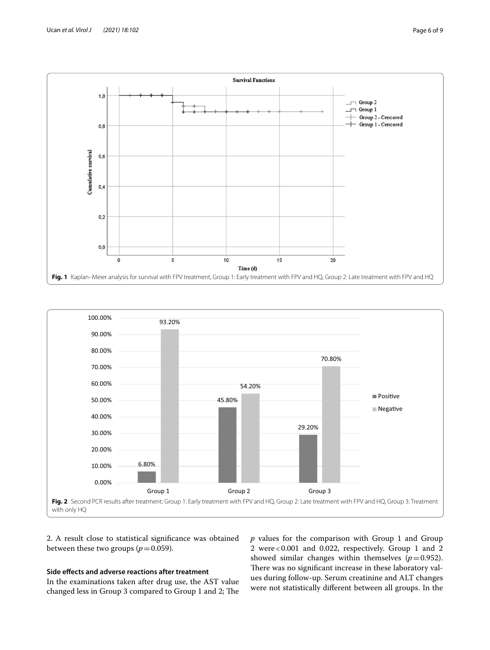



<span id="page-5-0"></span>

<span id="page-5-1"></span>2. A result close to statistical signifcance was obtained between these two groups ( $p = 0.059$ ).

# **Side efects and adverse reactions after treatment**

In the examinations taken after drug use, the AST value changed less in Group 3 compared to Group 1 and 2; The *p* values for the comparison with Group 1 and Group 2 were<0.001 and 0.022, respectively. Group 1 and 2 showed similar changes within themselves  $(p=0.952)$ . There was no significant increase in these laboratory values during follow-up. Serum creatinine and ALT changes were not statistically diferent between all groups. In the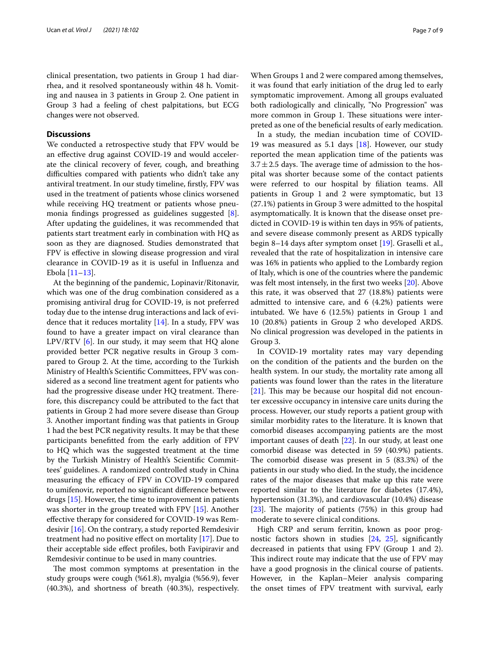clinical presentation, two patients in Group 1 had diarrhea, and it resolved spontaneously within 48 h. Vomiting and nausea in 3 patients in Group 2. One patient in Group 3 had a feeling of chest palpitations, but ECG changes were not observed.

# **Discussions**

We conducted a retrospective study that FPV would be an efective drug against COVID-19 and would accelerate the clinical recovery of fever, cough, and breathing difficulties compared with patients who didn't take any antiviral treatment. In our study timeline, frstly, FPV was used in the treatment of patients whose clinics worsened while receiving HQ treatment or patients whose pneumonia fndings progressed as guidelines suggested [\[8](#page-8-5)]. After updating the guidelines, it was recommended that patients start treatment early in combination with HQ as soon as they are diagnosed. Studies demonstrated that FPV is efective in slowing disease progression and viral clearance in COVID-19 as it is useful in Infuenza and Ebola [\[11](#page-8-8)–[13\]](#page-8-9).

At the beginning of the pandemic, Lopinavir/Ritonavir, which was one of the drug combination considered as a promising antiviral drug for COVID-19, is not preferred today due to the intense drug interactions and lack of evidence that it reduces mortality  $[14]$  $[14]$ . In a study, FPV was found to have a greater impact on viral clearance than LPV/RTV  $[6]$  $[6]$  $[6]$ . In our study, it may seem that HQ alone provided better PCR negative results in Group 3 compared to Group 2. At the time, according to the Turkish Ministry of Health's Scientifc Committees, FPV was considered as a second line treatment agent for patients who had the progressive disease under HQ treatment. Therefore, this discrepancy could be attributed to the fact that patients in Group 2 had more severe disease than Group 3. Another important fnding was that patients in Group 1 had the best PCR negativity results. It may be that these participants beneftted from the early addition of FPV to HQ which was the suggested treatment at the time by the Turkish Ministry of Health's Scientifc Committees' guidelines. A randomized controlled study in China measuring the efficacy of FPV in COVID-19 compared to umifenovir, reported no signifcant diference between drugs [\[15](#page-8-11)]. However, the time to improvement in patients was shorter in the group treated with FPV [\[15\]](#page-8-11). Another efective therapy for considered for COVID-19 was Remdesivir [\[16](#page-8-12)]. On the contrary, a study reported Remdesivir treatment had no positive efect on mortality [\[17](#page-8-13)]. Due to their acceptable side efect profles, both Favipiravir and Remdesivir continue to be used in many countries.

The most common symptoms at presentation in the study groups were cough (%61.8), myalgia (%56.9), fever (40.3%), and shortness of breath (40.3%), respectively.

When Groups 1 and 2 were compared among themselves, it was found that early initiation of the drug led to early symptomatic improvement. Among all groups evaluated both radiologically and clinically, "No Progression" was more common in Group 1. These situations were interpreted as one of the benefcial results of early medication.

In a study, the median incubation time of COVID-19 was measured as 5.1 days [\[18](#page-8-14)]. However, our study reported the mean application time of the patients was  $3.7 \pm 2.5$  days. The average time of admission to the hospital was shorter because some of the contact patients were referred to our hospital by fliation teams. All patients in Group 1 and 2 were symptomatic, but 13 (27.1%) patients in Group 3 were admitted to the hospital asymptomatically. It is known that the disease onset predicted in COVID-19 is within ten days in 95% of patients, and severe disease commonly present as ARDS typically begin 8–14 days after symptom onset [[19](#page-8-15)]. Graselli et al., revealed that the rate of hospitalization in intensive care was 16% in patients who applied to the Lombardy region of Italy, which is one of the countries where the pandemic was felt most intensely, in the frst two weeks [[20](#page-8-16)]. Above this rate, it was observed that 27 (18.8%) patients were admitted to intensive care, and 6 (4.2%) patients were intubated. We have 6 (12.5%) patients in Group 1 and 10 (20.8%) patients in Group 2 who developed ARDS. No clinical progression was developed in the patients in Group 3.

In COVID-19 mortality rates may vary depending on the condition of the patients and the burden on the health system. In our study, the mortality rate among all patients was found lower than the rates in the literature  $[21]$  $[21]$ . This may be because our hospital did not encounter excessive occupancy in intensive care units during the process. However, our study reports a patient group with similar morbidity rates to the literature. It is known that comorbid diseases accompanying patients are the most important causes of death [\[22\]](#page-8-18). In our study, at least one comorbid disease was detected in 59 (40.9%) patients. The comorbid disease was present in  $5$  (83.3%) of the patients in our study who died. In the study, the incidence rates of the major diseases that make up this rate were reported similar to the literature for diabetes (17.4%), hypertension (31.3%), and cardiovascular (10.4%) disease [ $23$ ]. The majority of patients (75%) in this group had moderate to severe clinical conditions.

High CRP and serum ferritin, known as poor prognostic factors shown in studies [\[24,](#page-8-20) [25](#page-8-21)], signifcantly decreased in patients that using FPV (Group 1 and 2). This indirect route may indicate that the use of FPV may have a good prognosis in the clinical course of patients. However, in the Kaplan–Meier analysis comparing the onset times of FPV treatment with survival, early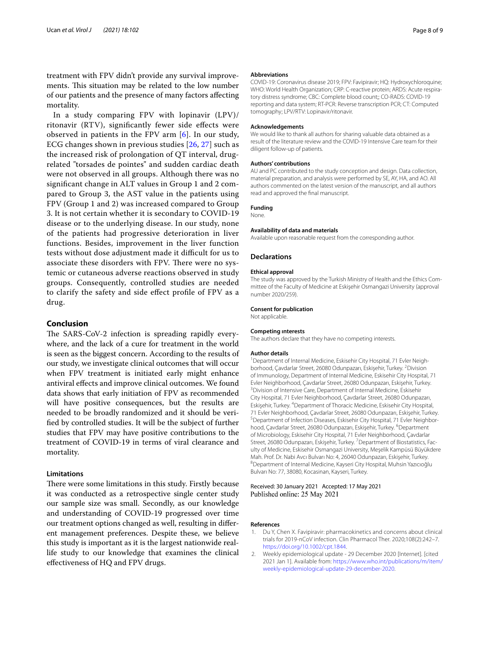treatment with FPV didn't provide any survival improvements. This situation may be related to the low number of our patients and the presence of many factors afecting mortality.

In a study comparing FPV with lopinavir (LPV)/ ritonavir (RTV), signifcantly fewer side efects were observed in patients in the FPV arm [\[6](#page-8-3)]. In our study, ECG changes shown in previous studies [[26,](#page-8-22) [27\]](#page-8-23) such as the increased risk of prolongation of QT interval, drugrelated "torsades de pointes" and sudden cardiac death were not observed in all groups. Although there was no signifcant change in ALT values in Group 1 and 2 compared to Group 3, the AST value in the patients using FPV (Group 1 and 2) was increased compared to Group 3. It is not certain whether it is secondary to COVID-19 disease or to the underlying disease. In our study, none of the patients had progressive deterioration in liver functions. Besides, improvement in the liver function tests without dose adjustment made it difficult for us to associate these disorders with FPV. There were no systemic or cutaneous adverse reactions observed in study groups. Consequently, controlled studies are needed to clarify the safety and side efect profle of FPV as a drug.

# **Conclusion**

The SARS-CoV-2 infection is spreading rapidly everywhere, and the lack of a cure for treatment in the world is seen as the biggest concern. According to the results of our study, we investigate clinical outcomes that will occur when FPV treatment is initiated early might enhance antiviral efects and improve clinical outcomes. We found data shows that early initiation of FPV as recommended will have positive consequences, but the results are needed to be broadly randomized and it should be verifed by controlled studies. It will be the subject of further studies that FPV may have positive contributions to the treatment of COVID-19 in terms of viral clearance and mortality.

# **Limitations**

There were some limitations in this study. Firstly because it was conducted as a retrospective single center study our sample size was small. Secondly, as our knowledge and understanding of COVID-19 progressed over time our treatment options changed as well, resulting in diferent management preferences. Despite these, we believe this study is important as it is the largest nationwide reallife study to our knowledge that examines the clinical efectiveness of HQ and FPV drugs.

#### **Abbreviations**

COVID-19: Coronavirus disease 2019; FPV: Favipiravir; HQ: Hydroxychloroquine; WHO: World Health Organization; CRP: C-reactive protein; ARDS: Acute respiratory distress syndrome; CBC: Complete blood count;; CO-RADS: COVID-19 reporting and data system; RT-PCR: Reverse transcription PCR; CT: Computed tomography; LPV/RTV: Lopinavir/ritonavir.

#### **Acknowledgements**

We would like to thank all authors for sharing valuable data obtained as a result of the literature review and the COVID-19 Intensive Care team for their diligent follow-up of patients.

#### **Authors' contributions**

AU and PC contributed to the study conception and design. Data collection, material preparation, and analysis were performed by SE, AY, HA, and AO. All authors commented on the latest version of the manuscript, and all authors read and approved the fnal manuscript.

# **Funding**

None.

#### **Availability of data and materials**

Available upon reasonable request from the corresponding author.

#### **Declarations**

#### **Ethical approval**

The study was approved by the Turkish Ministry of Health and the Ethics Committee of the Faculty of Medicine at Eskişehir Osmangazi University (approval number 2020/259).

#### **Consent for publication**

Not applicable.

#### **Competing ınterests**

The authors declare that they have no competing interests.

#### **Author details**

<sup>1</sup> Department of Internal Medicine, Eskisehir City Hospital, 71 Evler Neighborhood, Çavdarlar Street, 26080 Odunpazarı, Eskişehir, Turkey. <sup>2</sup> Division of Immunology, Department of Internal Medicine, Eskisehir City Hospital, 71 Evler Neighborhood, Çavdarlar Street, 26080 Odunpazarı, Eskişehir, Turkey. 3 <sup>3</sup> Division of Intensive Care, Department of Internal Medicine, Eskisehir City Hospital, 71 Evler Neighborhood, Çavdarlar Street, 26080 Odunpazarı, Eskişehir, Turkey. 4 Department of Thoracic Medicine, Eskisehir City Hospital, 71 Evler Neighborhood, Çavdarlar Street, 26080 Odunpazarı, Eskişehir, Turkey. 5 <sup>5</sup> Department of Infection Diseases, Eskisehir City Hospital, 71 Evler Neighborhood, Çavdarlar Street, 26080 Odunpazarı, Eskişehir, Turkey. <sup>6</sup>Department of Microbiology, Eskisehir City Hospital, 71 Evler Neighborhood, Çavdarlar Street, 26080 Odunpazarı, Eskişehir, Turkey. <sup>7</sup> Department of Biostatistics, Faculty of Medicine, Eskisehir Osmangazi University, Meşelik Kampüsü Büyükdere Mah. Prof. Dr. Nabi Avcı Bulvarı No: 4, 26040 Odunpazarı, Eskişehir, Turkey. 8 Department of Internal Medicine, Kayseri City Hospital, Muhsin Yazıcıoğlu Bulvarı No: 77, 38080, Kocasinan, Kayseri, Turkey.

#### Received: 30 January 2021 Accepted: 17 May 2021 Published online: 25 May 2021

#### **References**

- <span id="page-7-0"></span>1. Du Y, Chen X. Favipiravir: pharmacokinetics and concerns about clinical trials for 2019-nCoV infection. Clin Pharmacol Ther. 2020;108(2):242–7. [https://doi.org/10.1002/cpt.1844.](https://doi.org/10.1002/cpt.1844)
- <span id="page-7-1"></span>2. Weekly epidemiological update - 29 December 2020 [Internet]. [cited 2021 Jan 1]. Available from: [https://www.who.int/publications/m/item/](https://www.who.int/publications/m/item/weekly-epidemiological-update-29-december-2020) [weekly-epidemiological-update-29-december-2020.](https://www.who.int/publications/m/item/weekly-epidemiological-update-29-december-2020)